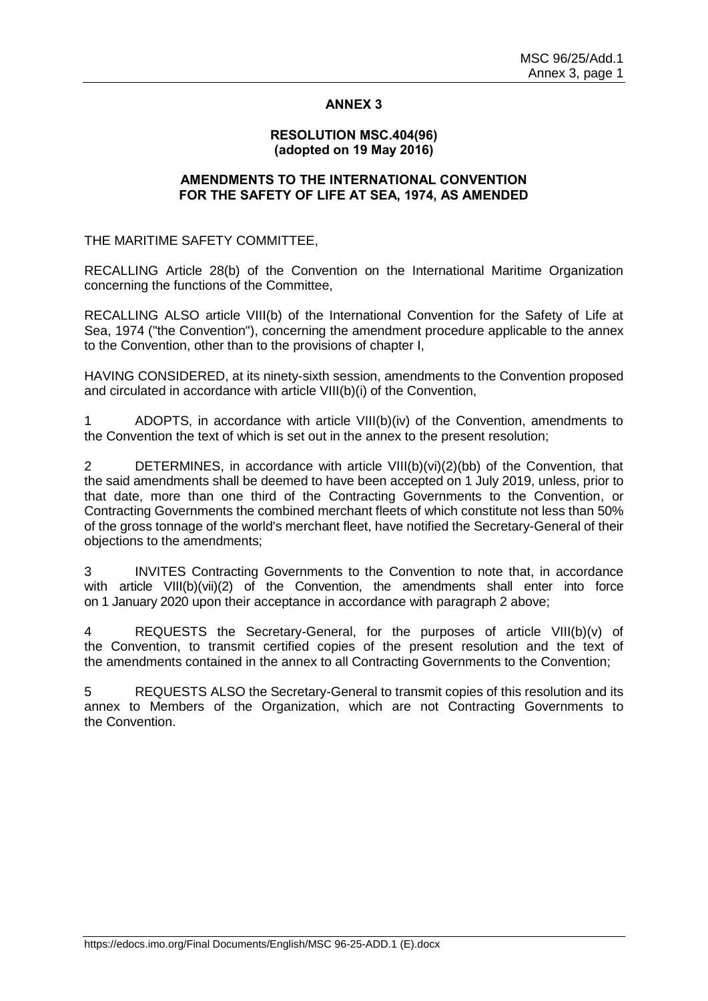# **ANNEX 3**

### **RESOLUTION MSC.404(96) (adopted on 19 May 2016)**

### **AMENDMENTS TO THE INTERNATIONAL CONVENTION FOR THE SAFETY OF LIFE AT SEA, 1974, AS AMENDED**

THE MARITIME SAFETY COMMITTEE,

RECALLING Article 28(b) of the Convention on the International Maritime Organization concerning the functions of the Committee,

RECALLING ALSO article VIII(b) of the International Convention for the Safety of Life at Sea, 1974 ("the Convention"), concerning the amendment procedure applicable to the annex to the Convention, other than to the provisions of chapter I,

HAVING CONSIDERED, at its ninety-sixth session, amendments to the Convention proposed and circulated in accordance with article VIII(b)(i) of the Convention,

1 ADOPTS, in accordance with article VIII(b)(iv) of the Convention, amendments to the Convention the text of which is set out in the annex to the present resolution;

2 DETERMINES, in accordance with article VIII(b)(vi)(2)(bb) of the Convention, that the said amendments shall be deemed to have been accepted on 1 July 2019, unless, prior to that date, more than one third of the Contracting Governments to the Convention, or Contracting Governments the combined merchant fleets of which constitute not less than 50% of the gross tonnage of the world's merchant fleet, have notified the Secretary-General of their objections to the amendments;

3 INVITES Contracting Governments to the Convention to note that, in accordance with article VIII(b)(vii)(2) of the Convention, the amendments shall enter into force on 1 January 2020 upon their acceptance in accordance with paragraph 2 above;

4 REQUESTS the Secretary-General, for the purposes of article VIII(b)(v) of the Convention, to transmit certified copies of the present resolution and the text of the amendments contained in the annex to all Contracting Governments to the Convention;

5 REQUESTS ALSO the Secretary-General to transmit copies of this resolution and its annex to Members of the Organization, which are not Contracting Governments to the Convention.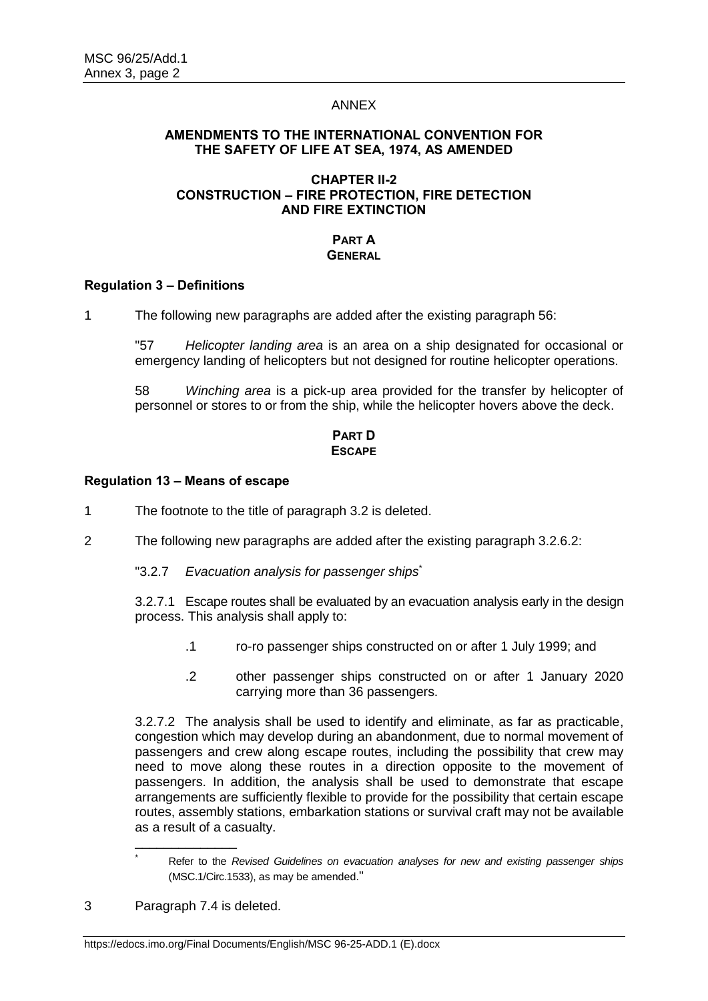### ANNEX

### **AMENDMENTS TO THE INTERNATIONAL CONVENTION FOR THE SAFETY OF LIFE AT SEA, 1974, AS AMENDED**

## **CHAPTER II-2 CONSTRUCTION – FIRE PROTECTION, FIRE DETECTION AND FIRE EXTINCTION**

### **PART A GENERAL**

### **Regulation 3 – Definitions**

1 The following new paragraphs are added after the existing paragraph 56:

"57 *Helicopter landing area* is an area on a ship designated for occasional or emergency landing of helicopters but not designed for routine helicopter operations.

58 *Winching area* is a pick-up area provided for the transfer by helicopter of personnel or stores to or from the ship, while the helicopter hovers above the deck.

# **PART D ESCAPE**

#### **Regulation 13 – Means of escape**

- 1 The footnote to the title of paragraph 3.2 is deleted.
- 2 The following new paragraphs are added after the existing paragraph 3.2.6.2:
	- "3.2.7 *Evacuation analysis for passenger ships*\*

3.2.7.1 Escape routes shall be evaluated by an evacuation analysis early in the design process. This analysis shall apply to:

- .1 ro-ro passenger ships constructed on or after 1 July 1999; and
- .2 other passenger ships constructed on or after 1 January 2020 carrying more than 36 passengers.

3.2.7.2 The analysis shall be used to identify and eliminate, as far as practicable, congestion which may develop during an abandonment, due to normal movement of passengers and crew along escape routes, including the possibility that crew may need to move along these routes in a direction opposite to the movement of passengers. In addition, the analysis shall be used to demonstrate that escape arrangements are sufficiently flexible to provide for the possibility that certain escape routes, assembly stations, embarkation stations or survival craft may not be available as a result of a casualty.

\_\_\_\_\_\_\_\_\_\_\_\_\_\_

\*

Refer to the *Revised Guidelines on evacuation analyses for new and existing passenger ships* (MSC.1/Circ.1533), as may be amended."

<sup>3</sup> Paragraph 7.4 is deleted.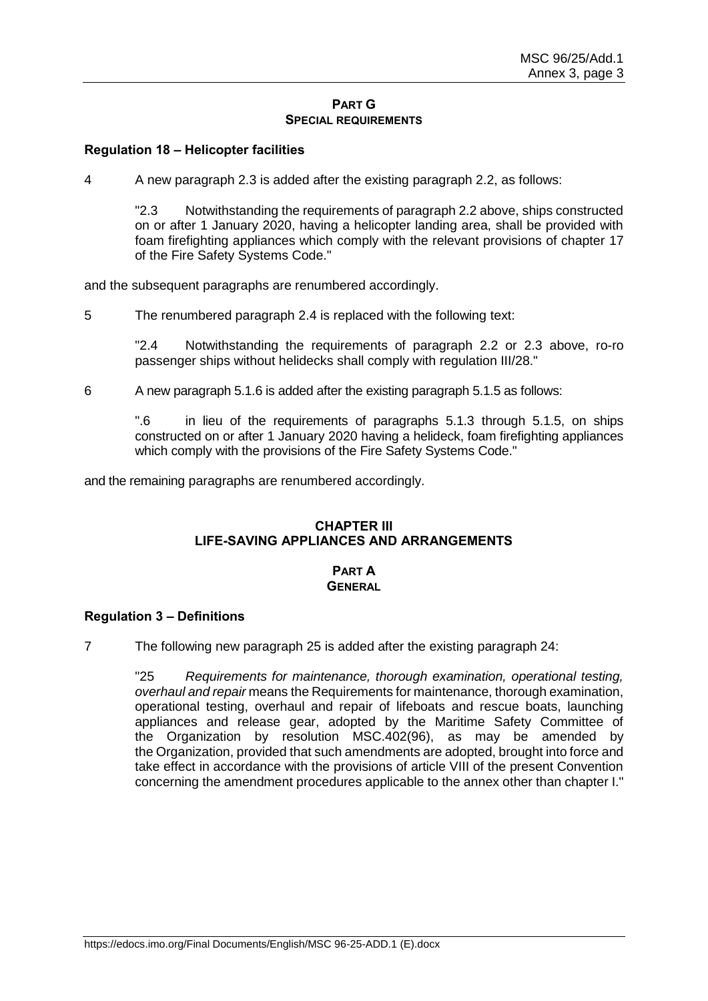#### **PART G SPECIAL REQUIREMENTS**

# **Regulation 18 – Helicopter facilities**

4 A new paragraph 2.3 is added after the existing paragraph 2.2, as follows:

"2.3 Notwithstanding the requirements of paragraph 2.2 above, ships constructed on or after 1 January 2020, having a helicopter landing area, shall be provided with foam firefighting appliances which comply with the relevant provisions of chapter 17 of the Fire Safety Systems Code."

and the subsequent paragraphs are renumbered accordingly.

5 The renumbered paragraph 2.4 is replaced with the following text:

"2.4 Notwithstanding the requirements of paragraph 2.2 or 2.3 above, ro-ro passenger ships without helidecks shall comply with regulation III/28."

6 A new paragraph 5.1.6 is added after the existing paragraph 5.1.5 as follows:

".6 in lieu of the requirements of paragraphs 5.1.3 through 5.1.5, on ships constructed on or after 1 January 2020 having a helideck, foam firefighting appliances which comply with the provisions of the Fire Safety Systems Code."

and the remaining paragraphs are renumbered accordingly.

### **CHAPTER III LIFE-SAVING APPLIANCES AND ARRANGEMENTS**

#### **PART A GENERAL**

#### **Regulation 3 – Definitions**

7 The following new paragraph 25 is added after the existing paragraph 24:

"25 *Requirements for maintenance, thorough examination, operational testing, overhaul and repair* means the Requirements for maintenance, thorough examination, operational testing, overhaul and repair of lifeboats and rescue boats, launching appliances and release gear, adopted by the Maritime Safety Committee of the Organization by resolution MSC.402(96), as may be amended by the Organization, provided that such amendments are adopted, brought into force and take effect in accordance with the provisions of article VIII of the present Convention concerning the amendment procedures applicable to the annex other than chapter I."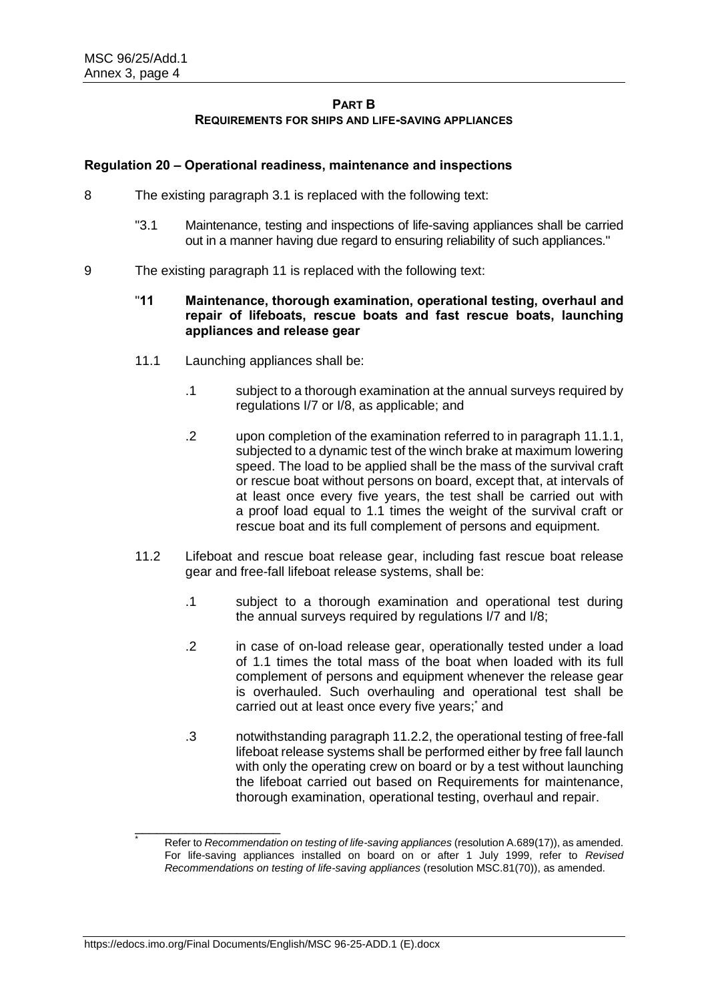# **PAPT B REQUIREMENTS FOR SHIPS AND LIFE-SAVING APPLIANCES**

# **Regulation 20 – Operational readiness, maintenance and inspections**

- 8 The existing paragraph 3.1 is replaced with the following text:
	- "3.1 Maintenance, testing and inspections of life-saving appliances shall be carried out in a manner having due regard to ensuring reliability of such appliances."
- 9 The existing paragraph 11 is replaced with the following text:

# "**11 Maintenance, thorough examination, operational testing, overhaul and repair of lifeboats, rescue boats and fast rescue boats, launching appliances and release gear**

- 11.1 Launching appliances shall be:
	- .1 subject to a thorough examination at the annual surveys required by regulations I/7 or I/8, as applicable; and
	- .2 upon completion of the examination referred to in paragraph 11.1.1, subjected to a dynamic test of the winch brake at maximum lowering speed. The load to be applied shall be the mass of the survival craft or rescue boat without persons on board, except that, at intervals of at least once every five years, the test shall be carried out with a proof load equal to 1.1 times the weight of the survival craft or rescue boat and its full complement of persons and equipment.
- 11.2 Lifeboat and rescue boat release gear, including fast rescue boat release gear and free-fall lifeboat release systems, shall be:
	- .1 subject to a thorough examination and operational test during the annual surveys required by regulations I/7 and I/8;
	- .2 in case of on-load release gear, operationally tested under a load of 1.1 times the total mass of the boat when loaded with its full complement of persons and equipment whenever the release gear is overhauled. Such overhauling and operational test shall be carried out at least once every five years;<sup>\*</sup> and
	- .3 notwithstanding paragraph 11.2.2, the operational testing of free-fall lifeboat release systems shall be performed either by free fall launch with only the operating crew on board or by a test without launching the lifeboat carried out based on Requirements for maintenance, thorough examination, operational testing, overhaul and repair.

\_\_\_\_\_\_\_\_\_\_\_\_\_\_\_\_\_\_\_\_

<sup>\*</sup> Refer to *Recommendation on testing of life-saving appliances* (resolution A.689(17)), as amended. For life-saving appliances installed on board on or after 1 July 1999, refer to *Revised Recommendations on testing of life-saving appliances* (resolution MSC.81(70)), as amended.